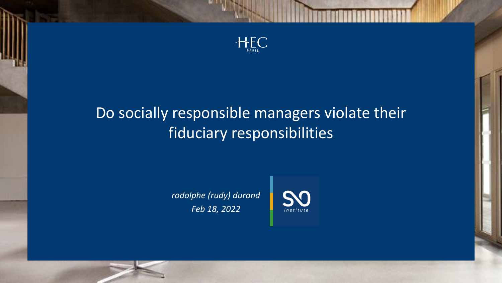

# Do socially responsible managers violate their fiduciary responsibilities

*rodolphe (rudy) durand Feb 18, 2022*

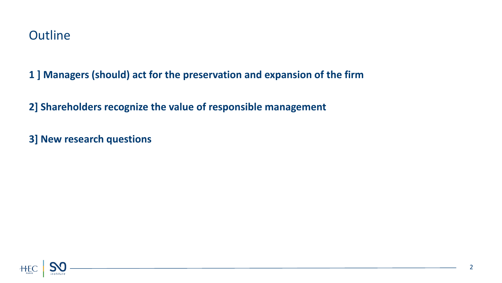### **Outline**

**1 ] Managers (should) act for the preservation and expansion of the firm**

**2] Shareholders recognize the value of responsible management**

**3] New research questions**

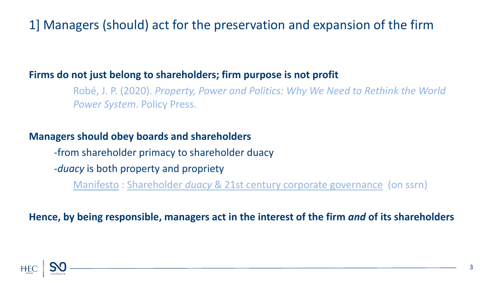# 1] Managers (should) act for the preservation and expansion of the firm

#### **Firms do not just belong to shareholders; firm purpose is not profit**

Robé, J. P. (2020). *Property, Power and Politics: Why We Need to Rethink the World Power System*. Policy Press.

#### **Managers should obey boards and shareholders**

-from shareholder primacy to shareholder duacy

-*duacy* is both property and propriety

Manifesto : Shareholder *duacy* [& 21st century corporate governance](https://papers.ssrn.com/sol3/papers.cfm?abstract_id=3894234) (on ssrn)

**Hence, by being responsible, managers act in the interest of the firm** *and* **of its shareholders**

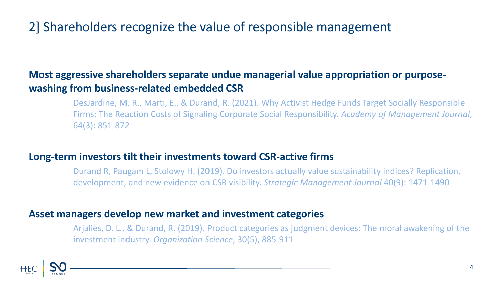# 2] Shareholders recognize the value of responsible management

#### **Most aggressive shareholders separate undue managerial value appropriation or purposewashing from business-related embedded CSR**

DesJardine, M. R., Marti, E., & Durand, R. (2021). Why Activist Hedge Funds Target Socially Responsible Firms: The Reaction Costs of Signaling Corporate Social Responsibility. *Academy of Management Journal*, 64(3): 851-872

#### **Long-term investors tilt their investments toward CSR-active firms**

Durand R, Paugam L, Stolowy H. (2019). Do investors actually value sustainability indices? Replication, development, and new evidence on CSR visibility. *Strategic Management Journal* 40(9): 1471-1490

#### **Asset managers develop new market and investment categories**

Arjaliès, D. L., & Durand, R. (2019). Product categories as judgment devices: The moral awakening of the investment industry. *Organization Science*, 30(5), 885-911

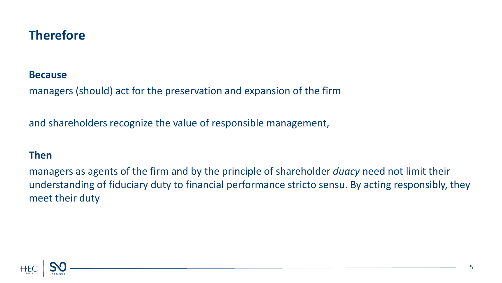## **Therefore**

#### **Because**

managers (should) act for the preservation and expansion of the firm

and shareholders recognize the value of responsible management,

#### **Then**

managers as agents of the firm and by the principle of shareholder *duacy* need not limit their understanding of fiduciary duty to financial performance stricto sensu. By acting responsibly, they meet their duty